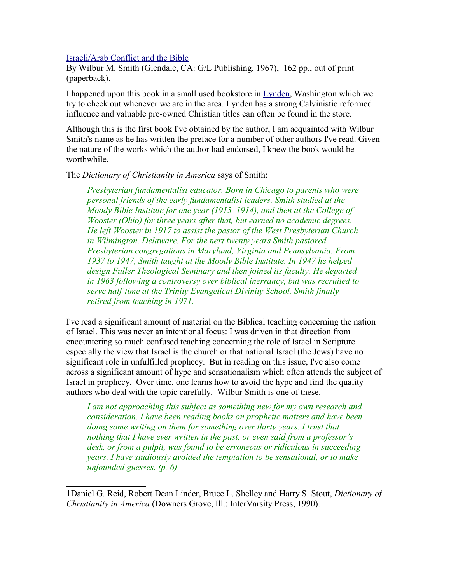## [Israeli/Arab Conflict and the Bible](http://www.bestbookdeal.com/book/compare/0825426448)

By Wilbur M. Smith (Glendale, CA: G/L Publishing, 1967), 162 pp., out of print (paperback).

I happened upon this book in a small used bookstore in [Lynden,](http://www.lynden.org/) Washington which we try to check out whenever we are in the area. Lynden has a strong Calvinistic reformed influence and valuable pre-owned Christian titles can often be found in the store.

Although this is the first book I've obtained by the author, I am acquainted with Wilbur Smith's name as he has written the preface for a number of other authors I've read. Given the nature of the works which the author had endorsed, I knew the book would be worthwhile.

The *Dictionary of Christianity in America* says of Smith:<sup>[1](#page-0-0)</sup>

*Presbyterian fundamentalist educator. Born in Chicago to parents who were personal friends of the early fundamentalist leaders, Smith studied at the Moody Bible Institute for one year (1913–1914), and then at the College of Wooster (Ohio) for three years after that, but earned no academic degrees. He left Wooster in 1917 to assist the pastor of the West Presbyterian Church in Wilmington, Delaware. For the next twenty years Smith pastored Presbyterian congregations in Maryland, Virginia and Pennsylvania. From 1937 to 1947, Smith taught at the Moody Bible Institute. In 1947 he helped design Fuller Theological Seminary and then joined its faculty. He departed in 1963 following a controversy over biblical inerrancy, but was recruited to serve half-time at the Trinity Evangelical Divinity School. Smith finally retired from teaching in 1971.*

I've read a significant amount of material on the Biblical teaching concerning the nation of Israel. This was never an intentional focus: I was driven in that direction from encountering so much confused teaching concerning the role of Israel in Scripture especially the view that Israel is the church or that national Israel (the Jews) have no significant role in unfulfilled prophecy. But in reading on this issue, I've also come across a significant amount of hype and sensationalism which often attends the subject of Israel in prophecy. Over time, one learns how to avoid the hype and find the quality authors who deal with the topic carefully. Wilbur Smith is one of these.

*I am not approaching this subject as something new for my own research and consideration. I have been reading books on prophetic matters and have been doing some writing on them for something over thirty years. I trust that nothing that I have ever written in the past, or even said from a professor's desk, or from a pulpit, was found to be erroneous or ridiculous in succeeding years. I have studiously avoided the temptation to be sensational, or to make unfounded guesses. (p. 6)*

<span id="page-0-0"></span><sup>1</sup>Daniel G. Reid, Robert Dean Linder, Bruce L. Shelley and Harry S. Stout, *Dictionary of Christianity in America* (Downers Grove, Ill.: InterVarsity Press, 1990).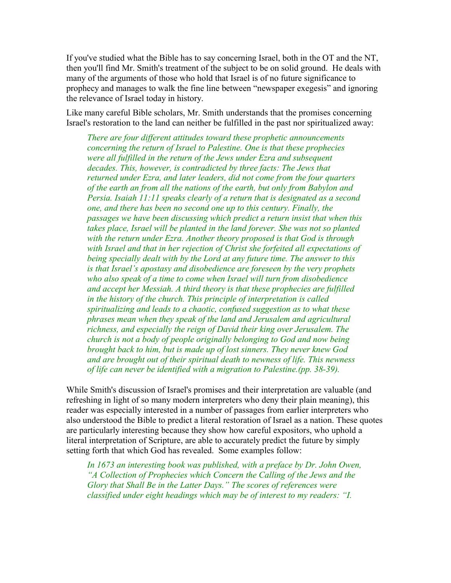If you've studied what the Bible has to say concerning Israel, both in the OT and the NT, then you'll find Mr. Smith's treatment of the subject to be on solid ground. He deals with many of the arguments of those who hold that Israel is of no future significance to prophecy and manages to walk the fine line between "newspaper exegesis" and ignoring the relevance of Israel today in history.

Like many careful Bible scholars, Mr. Smith understands that the promises concerning Israel's restoration to the land can neither be fulfilled in the past nor spiritualized away:

*There are four different attitudes toward these prophetic announcements concerning the return of Israel to Palestine. One is that these prophecies were all fulfilled in the return of the Jews under Ezra and subsequent decades. This, however, is contradicted by three facts: The Jews that returned under Ezra, and later leaders, did not come from the four quarters of the earth an from all the nations of the earth, but only from Babylon and Persia. Isaiah 11:11 speaks clearly of a return that is designated as a second one, and there has been no second one up to this century. Finally, the passages we have been discussing which predict a return insist that when this takes place, Israel will be planted in the land forever. She was not so planted with the return under Ezra. Another theory proposed is that God is through with Israel and that in her rejection of Christ she forfeited all expectations of being specially dealt with by the Lord at any future time. The answer to this is that Israel's apostasy and disobedience are foreseen by the very prophets who also speak of a time to come when Israel will turn from disobedience and accept her Messiah. A third theory is that these prophecies are fulfilled in the history of the church. This principle of interpretation is called spiritualizing and leads to a chaotic, confused suggestion as to what these phrases mean when they speak of the land and Jerusalem and agricultural richness, and especially the reign of David their king over Jerusalem. The church is not a body of people originally belonging to God and now being brought back to him, but is made up of lost sinners. They never knew God and are brought out of their spiritual death to newness of life. This newness of life can never be identified with a migration to Palestine.(pp. 38-39).*

While Smith's discussion of Israel's promises and their interpretation are valuable (and refreshing in light of so many modern interpreters who deny their plain meaning), this reader was especially interested in a number of passages from earlier interpreters who also understood the Bible to predict a literal restoration of Israel as a nation. These quotes are particularly interesting because they show how careful expositors, who uphold a literal interpretation of Scripture, are able to accurately predict the future by simply setting forth that which God has revealed. Some examples follow:

*In 1673 an interesting book was published, with a preface by Dr. John Owen, "A Collection of Prophecies which Concern the Calling of the Jews and the Glory that Shall Be in the Latter Days." The scores of references were classified under eight headings which may be of interest to my readers: "I.*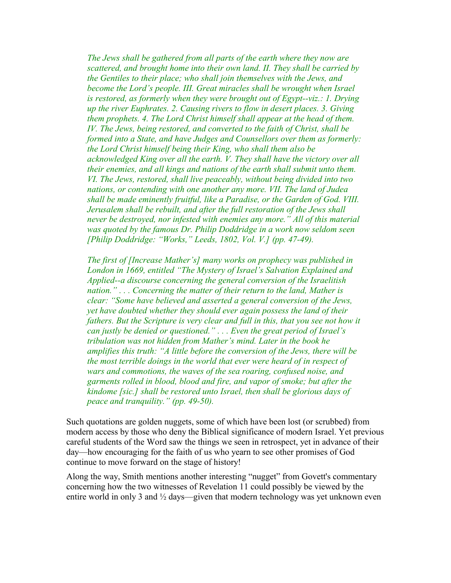*The Jews shall be gathered from all parts of the earth where they now are scattered, and brought home into their own land. II. They shall be carried by the Gentiles to their place; who shall join themselves with the Jews, and become the Lord's people. III. Great miracles shall be wrought when Israel is restored, as formerly when they were brought out of Egypt--viz.: 1. Drying up the river Euphrates. 2. Causing rivers to flow in desert places. 3. Giving them prophets. 4. The Lord Christ himself shall appear at the head of them. IV. The Jews, being restored, and converted to the faith of Christ, shall be formed into a State, and have Judges and Counsellors over them as formerly: the Lord Christ himself being their King, who shall them also be acknowledged King over all the earth. V. They shall have the victory over all their enemies, and all kings and nations of the earth shall submit unto them. VI. The Jews, restored, shall live peaceably, without being divided into two nations, or contending with one another any more. VII. The land of Judea shall be made eminently fruitful, like a Paradise, or the Garden of God. VIII. Jerusalem shall be rebuilt, and after the full restoration of the Jews shall never be destroyed, nor infested with enemies any more." All of this material was quoted by the famous Dr. Philip Doddridge in a work now seldom seen [Philip Doddridge: "Works," Leeds, 1802, Vol. V.] (pp. 47-49).*

*The first of [Increase Mather's] many works on prophecy was published in London in 1669, entitled "The Mystery of Israel's Salvation Explained and Applied--a discourse concerning the general conversion of the Israelitish nation." . . . Concerning the matter of their return to the land, Mather is clear: "Some have believed and asserted a general conversion of the Jews, yet have doubted whether they should ever again possess the land of their fathers. But the Scripture is very clear and full in this, that you see not how it can justly be denied or questioned." . . . Even the great period of Israel's tribulation was not hidden from Mather's mind. Later in the book he amplifies this truth: "A little before the conversion of the Jews, there will be the most terrible doings in the world that ever were heard of in respect of wars and commotions, the waves of the sea roaring, confused noise, and garments rolled in blood, blood and fire, and vapor of smoke; but after the kindome [sic.] shall be restored unto Israel, then shall be glorious days of peace and tranquility." (pp. 49-50).*

Such quotations are golden nuggets, some of which have been lost (or scrubbed) from modern access by those who deny the Biblical significance of modern Israel. Yet previous careful students of the Word saw the things we seen in retrospect, yet in advance of their day—how encouraging for the faith of us who yearn to see other promises of God continue to move forward on the stage of history!

Along the way, Smith mentions another interesting "nugget" from Govett's commentary concerning how the two witnesses of Revelation 11 could possibly be viewed by the entire world in only 3 and  $\frac{1}{2}$  days—given that modern technology was yet unknown even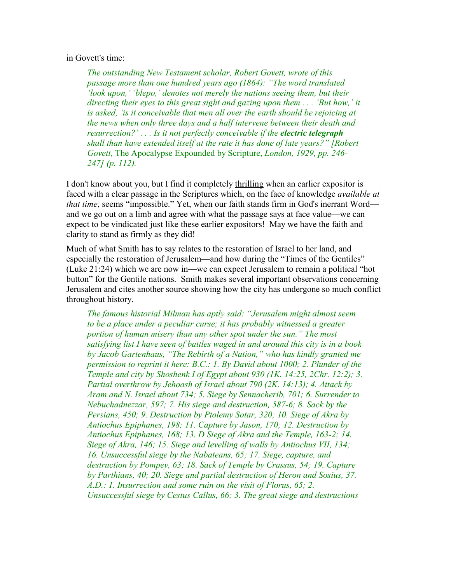## in Govett's time:

*The outstanding New Testament scholar, Robert Govett, wrote of this passage more than one hundred years ago (1864): "The word translated 'look upon,' 'blepo,' denotes not merely the nations seeing them, but their directing their eyes to this great sight and gazing upon them . . . 'But how,' it is asked, 'is it conceivable that men all over the earth should be rejoicing at the news when only three days and a half intervene between their death and resurrection?' . . . Is it not perfectly conceivable if the electric telegraph shall than have extended itself at the rate it has done of late years?" [Robert Govett,* The Apocalypse Expounded by Scripture, *London, 1929, pp. 246- 247] (p. 112).*

I don't know about you, but I find it completely thrilling when an earlier expositor is faced with a clear passage in the Scriptures which, on the face of knowledge *available at that time*, seems "impossible." Yet, when our faith stands firm in God's inerrant Word and we go out on a limb and agree with what the passage says at face value—we can expect to be vindicated just like these earlier expositors! May we have the faith and clarity to stand as firmly as they did!

Much of what Smith has to say relates to the restoration of Israel to her land, and especially the restoration of Jerusalem—and how during the "Times of the Gentiles" (Luke 21:24) which we are now in—we can expect Jerusalem to remain a political "hot button" for the Gentile nations. Smith makes several important observations concerning Jerusalem and cites another source showing how the city has undergone so much conflict throughout history.

*The famous historial Milman has aptly said: "Jerusalem might almost seem to be a place under a peculiar curse; it has probably witnessed a greater portion of human misery than any other spot under the sun." The most satisfying list I have seen of battles waged in and around this city is in a book by Jacob Gartenhaus, "The Rebirth of a Nation," who has kindly granted me permission to reprint it here: B.C.: 1. By David about 1000; 2. Plunder of the Temple and city by Shoshenk I of Egypt about 930 (1K. 14:25, 2Chr. 12:2); 3. Partial overthrow by Jehoash of Israel about 790 (2K. 14:13); 4. Attack by Aram and N. Israel about 734; 5. Siege by Sennacherib, 701; 6. Surrender to Nebuchadnezzar, 597; 7. His siege and destruction, 587-6; 8. Sack by the Persians, 450; 9. Destruction by Ptolemy Sotar, 320; 10. Siege of Akra by Antiochus Epiphanes, 198; 11. Capture by Jason, 170; 12. Destruction by Antiochus Epiphanes, 168; 13. D Siege of Akra and the Temple, 163-2; 14. Siege of Akra, 146; 15. Siege and levelling of walls by Antiochus VII, 134; 16. Unsuccessful siege by the Nabateans, 65; 17. Siege, capture, and destruction by Pompey, 63; 18. Sack of Temple by Crassus, 54; 19. Capture by Parthians, 40; 20. Siege and partial destruction of Heron and Sosius, 37. A.D.: 1. Insurrection and some ruin on the visit of Florus, 65; 2. Unsuccessful siege by Cestus Callus, 66; 3. The great siege and destructions*